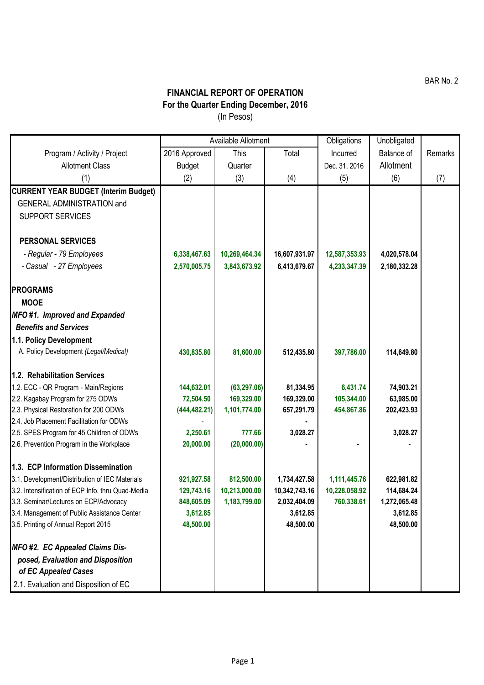BAR No. 2

## **FINANCIAL REPORT OF OPERATION For the Quarter Ending December, 2016** (In Pesos)

|                                                   | Available Allotment |               |               | Obligations   | Unobligated  |         |
|---------------------------------------------------|---------------------|---------------|---------------|---------------|--------------|---------|
| Program / Activity / Project                      | 2016 Approved       | This          | Total         | Incurred      | Balance of   | Remarks |
| <b>Allotment Class</b>                            | <b>Budget</b>       | Quarter       |               | Dec. 31, 2016 | Allotment    |         |
| (1)                                               | (2)                 | (3)           | (4)           | (5)           | (6)          | (7)     |
| <b>CURRENT YEAR BUDGET (Interim Budget)</b>       |                     |               |               |               |              |         |
| <b>GENERAL ADMINISTRATION and</b>                 |                     |               |               |               |              |         |
| <b>SUPPORT SERVICES</b>                           |                     |               |               |               |              |         |
|                                                   |                     |               |               |               |              |         |
| <b>PERSONAL SERVICES</b>                          |                     |               |               |               |              |         |
| - Regular - 79 Employees                          | 6,338,467.63        | 10,269,464.34 | 16,607,931.97 | 12,587,353.93 | 4,020,578.04 |         |
| - Casual - 27 Employees                           | 2,570,005.75        | 3,843,673.92  | 6,413,679.67  | 4,233,347.39  | 2,180,332.28 |         |
|                                                   |                     |               |               |               |              |         |
| <b>PROGRAMS</b>                                   |                     |               |               |               |              |         |
| <b>MOOE</b>                                       |                     |               |               |               |              |         |
| MFO#1. Improved and Expanded                      |                     |               |               |               |              |         |
| <b>Benefits and Services</b>                      |                     |               |               |               |              |         |
| 1.1. Policy Development                           |                     |               |               |               |              |         |
| A. Policy Development (Legal/Medical)             | 430,835.80          | 81,600.00     | 512,435.80    | 397,786.00    | 114,649.80   |         |
|                                                   |                     |               |               |               |              |         |
| 1.2. Rehabilitation Services                      |                     |               |               |               |              |         |
| 1.2. ECC - QR Program - Main/Regions              | 144,632.01          | (63, 297.06)  | 81,334.95     | 6,431.74      | 74,903.21    |         |
| 2.2. Kagabay Program for 275 ODWs                 | 72,504.50           | 169,329.00    | 169,329.00    | 105,344.00    | 63,985.00    |         |
| 2.3. Physical Restoration for 200 ODWs            | (444, 482.21)       | 1,101,774.00  | 657,291.79    | 454,867.86    | 202,423.93   |         |
| 2.4. Job Placement Facilitation for ODWs          |                     |               |               |               |              |         |
| 2.5. SPES Program for 45 Children of ODWs         | 2,250.61            | 777.66        | 3,028.27      |               | 3,028.27     |         |
| 2.6. Prevention Program in the Workplace          | 20,000.00           | (20,000.00)   |               |               |              |         |
| 1.3. ECP Information Dissemination                |                     |               |               |               |              |         |
| 3.1. Development/Distribution of IEC Materials    | 921,927.58          | 812,500.00    | 1,734,427.58  | 1,111,445.76  | 622,981.82   |         |
| 3.2. Intensification of ECP Info. thru Quad-Media | 129,743.16          | 10,213,000.00 | 10,342,743.16 | 10,228,058.92 | 114,684.24   |         |
| 3.3. Seminar/Lectures on ECP/Advocacy             | 848,605.09          | 1,183,799.00  | 2,032,404.09  | 760,338.61    | 1,272,065.48 |         |
| 3.4. Management of Public Assistance Center       | 3,612.85            |               | 3,612.85      |               | 3,612.85     |         |
| 3.5. Printing of Annual Report 2015               | 48,500.00           |               | 48,500.00     |               | 48,500.00    |         |
|                                                   |                     |               |               |               |              |         |
| MFO #2. EC Appealed Claims Dis-                   |                     |               |               |               |              |         |
| posed, Evaluation and Disposition                 |                     |               |               |               |              |         |
| of EC Appealed Cases                              |                     |               |               |               |              |         |
| 2.1. Evaluation and Disposition of EC             |                     |               |               |               |              |         |